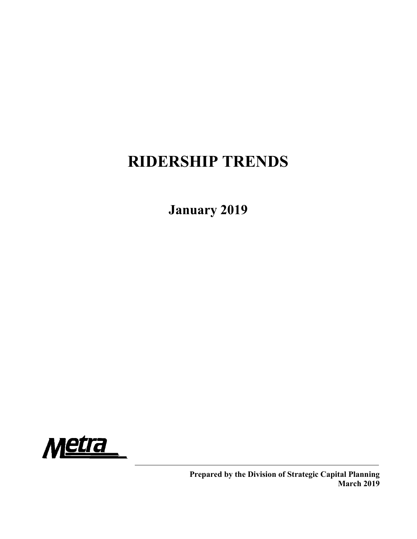# RIDERSHIP TRENDS

January 2019

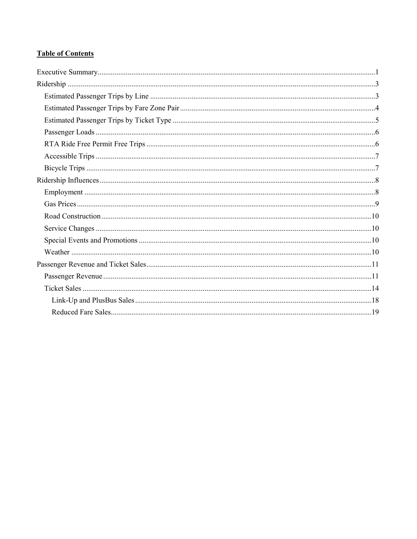## **Table of Contents**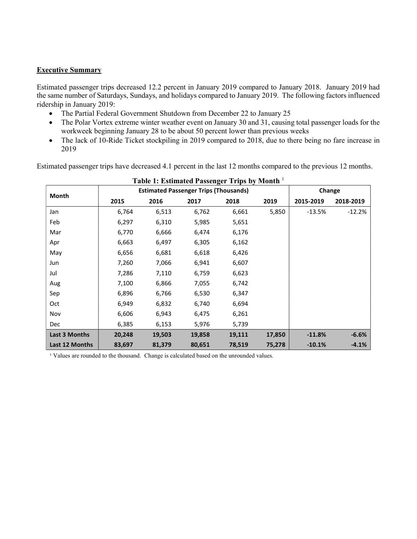#### Executive Summary

Estimated passenger trips decreased 12.2 percent in January 2019 compared to January 2018. January 2019 had the same number of Saturdays, Sundays, and holidays compared to January 2019. The following factors influenced ridership in January 2019:

- The Partial Federal Government Shutdown from December 22 to January 25
- The Polar Vortex extreme winter weather event on January 30 and 31, causing total passenger loads for the workweek beginning January 28 to be about 50 percent lower than previous weeks
- The lack of 10-Ride Ticket stockpiling in 2019 compared to 2018, due to there being no fare increase in 2019

Estimated passenger trips have decreased 4.1 percent in the last 12 months compared to the previous 12 months.

| Table 1: Estimated Passenger Trips by Month 1 |        |        |                                              |        |        |           |           |  |  |  |  |
|-----------------------------------------------|--------|--------|----------------------------------------------|--------|--------|-----------|-----------|--|--|--|--|
| Month                                         |        |        | <b>Estimated Passenger Trips (Thousands)</b> |        |        | Change    |           |  |  |  |  |
|                                               | 2015   | 2016   | 2017                                         | 2018   | 2019   | 2015-2019 | 2018-2019 |  |  |  |  |
| Jan                                           | 6,764  | 6,513  | 6,762                                        | 6,661  | 5,850  | $-13.5%$  | $-12.2%$  |  |  |  |  |
| Feb                                           | 6,297  | 6,310  | 5,985                                        | 5,651  |        |           |           |  |  |  |  |
| Mar                                           | 6,770  | 6,666  | 6,474                                        | 6,176  |        |           |           |  |  |  |  |
| Apr                                           | 6,663  | 6,497  | 6,305                                        | 6,162  |        |           |           |  |  |  |  |
| May                                           | 6,656  | 6,681  | 6,618                                        | 6,426  |        |           |           |  |  |  |  |
| Jun                                           | 7,260  | 7,066  | 6,941                                        | 6,607  |        |           |           |  |  |  |  |
| Jul                                           | 7,286  | 7,110  | 6,759                                        | 6,623  |        |           |           |  |  |  |  |
| Aug                                           | 7,100  | 6,866  | 7,055                                        | 6,742  |        |           |           |  |  |  |  |
| Sep                                           | 6,896  | 6,766  | 6,530                                        | 6,347  |        |           |           |  |  |  |  |
| Oct                                           | 6,949  | 6,832  | 6,740                                        | 6,694  |        |           |           |  |  |  |  |
| Nov                                           | 6,606  | 6,943  | 6,475                                        | 6,261  |        |           |           |  |  |  |  |
| <b>Dec</b>                                    | 6,385  | 6,153  | 5,976                                        | 5,739  |        |           |           |  |  |  |  |
| <b>Last 3 Months</b>                          | 20,248 | 19,503 | 19,858                                       | 19,111 | 17,850 | $-11.8%$  | $-6.6%$   |  |  |  |  |
| Last 12 Months                                | 83,697 | 81,379 | 80,651                                       | 78,519 | 75,278 | $-10.1%$  | $-4.1%$   |  |  |  |  |

<sup>1</sup> Values are rounded to the thousand. Change is calculated based on the unrounded values.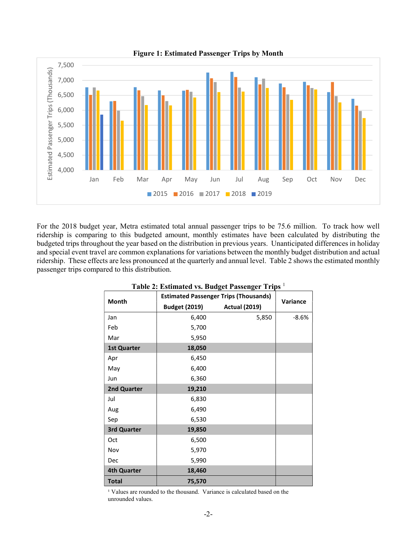

For the 2018 budget year, Metra estimated total annual passenger trips to be 75.6 million. To track how well ridership is comparing to this budgeted amount, monthly estimates have been calculated by distributing the budgeted trips throughout the year based on the distribution in previous years. Unanticipated differences in holiday and special event travel are common explanations for variations between the monthly budget distribution and actual ridership. These effects are less pronounced at the quarterly and annual level. Table 2 shows the estimated monthly passenger trips compared to this distribution.

|                    |                      | <b>Estimated Passenger Trips (Thousands)</b> |          |
|--------------------|----------------------|----------------------------------------------|----------|
| Month              | <b>Budget (2019)</b> | <b>Actual (2019)</b>                         | Variance |
| Jan                | 6,400                | 5,850                                        | $-8.6%$  |
| Feb                | 5,700                |                                              |          |
| Mar                | 5,950                |                                              |          |
| <b>1st Quarter</b> | 18,050               |                                              |          |
| Apr                | 6,450                |                                              |          |
| May                | 6,400                |                                              |          |
| Jun                | 6,360                |                                              |          |
| 2nd Quarter        | 19,210               |                                              |          |
| Jul                | 6,830                |                                              |          |
| Aug                | 6,490                |                                              |          |
| Sep                | 6,530                |                                              |          |
| 3rd Quarter        | 19,850               |                                              |          |
| Oct                | 6,500                |                                              |          |
| Nov                | 5,970                |                                              |          |
| Dec                | 5,990                |                                              |          |
| <b>4th Quarter</b> | 18,460               |                                              |          |
| <b>Total</b>       | 75,570               |                                              |          |

Table 2: Estimated vs. Budget Passenger Trips <sup>1</sup>

<sup>1</sup> Values are rounded to the thousand. Variance is calculated based on the unrounded values.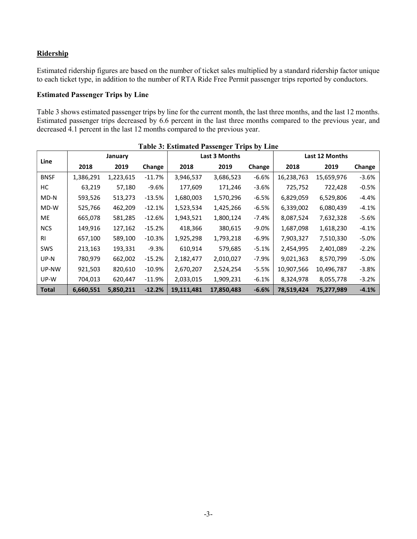## **Ridership**

Estimated ridership figures are based on the number of ticket sales multiplied by a standard ridership factor unique to each ticket type, in addition to the number of RTA Ride Free Permit passenger trips reported by conductors.

## Estimated Passenger Trips by Line

Table 3 shows estimated passenger trips by line for the current month, the last three months, and the last 12 months. Estimated passenger trips decreased by 6.6 percent in the last three months compared to the previous year, and decreased 4.1 percent in the last 12 months compared to the previous year.

|              |           |           |           | <b>Table 3: Estimated Passenger Trips by Line</b> |               |          |            |                |         |
|--------------|-----------|-----------|-----------|---------------------------------------------------|---------------|----------|------------|----------------|---------|
|              |           | January   |           |                                                   | Last 3 Months |          |            | Last 12 Months |         |
| Line         | 2018      | 2019      | Change    | 2018                                              | 2019          | Change   | 2018       | 2019           | Change  |
| <b>BNSF</b>  | 1,386,291 | 1,223,615 | $-11.7\%$ | 3,946,537                                         | 3,686,523     | $-6.6%$  | 16,238,763 | 15,659,976     | $-3.6%$ |
| НC           | 63,219    | 57,180    | $-9.6%$   | 177,609                                           | 171,246       | $-3.6%$  | 725,752    | 722,428        | $-0.5%$ |
| MD-N         | 593,526   | 513,273   | $-13.5%$  | 1,680,003                                         | 1,570,296     | $-6.5%$  | 6,829,059  | 6,529,806      | $-4.4%$ |
| MD-W         | 525,766   | 462,209   | $-12.1%$  | 1,523,534                                         | 1,425,266     | $-6.5%$  | 6,339,002  | 6,080,439      | $-4.1%$ |
| ME           | 665,078   | 581,285   | $-12.6%$  | 1,943,521                                         | 1,800,124     | -7.4%    | 8,087,524  | 7,632,328      | $-5.6%$ |
| <b>NCS</b>   | 149,916   | 127,162   | $-15.2%$  | 418,366                                           | 380,615       | $-9.0%$  | 1,687,098  | 1,618,230      | $-4.1%$ |
| <b>RI</b>    | 657,100   | 589,100   | $-10.3%$  | 1,925,298                                         | 1,793,218     | $-6.9%$  | 7,903,327  | 7,510,330      | $-5.0%$ |
| <b>SWS</b>   | 213,163   | 193,331   | $-9.3%$   | 610,914                                           | 579,685       | $-5.1%$  | 2,454,995  | 2,401,089      | $-2.2%$ |
| UP-N         | 780,979   | 662,002   | $-15.2%$  | 2,182,477                                         | 2,010,027     | -7.9%    | 9,021,363  | 8,570,799      | $-5.0%$ |
| UP-NW        | 921,503   | 820,610   | $-10.9\%$ | 2,670,207                                         | 2,524,254     | $-5.5%$  | 10,907,566 | 10,496,787     | $-3.8%$ |
| UP-W         | 704,013   | 620,447   | $-11.9%$  | 2,033,015                                         | 1,909,231     | $-6.1\%$ | 8,324,978  | 8,055,778      | $-3.2%$ |
| <b>Total</b> | 6,660,551 | 5,850,211 | $-12.2%$  | 19,111,481                                        | 17,850,483    | $-6.6%$  | 78,519,424 | 75,277,989     | $-4.1%$ |

-3-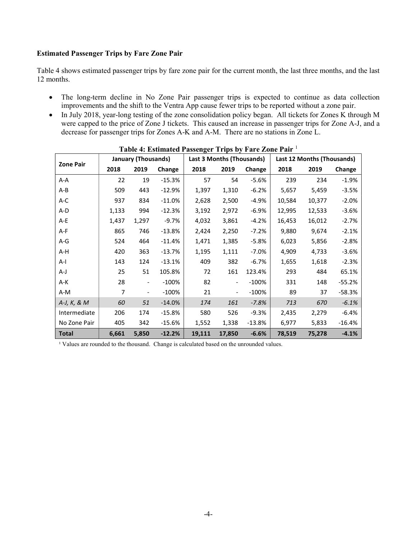#### Estimated Passenger Trips by Fare Zone Pair

Table 4 shows estimated passenger trips by fare zone pair for the current month, the last three months, and the last 12 months.

- The long-term decline in No Zone Pair passenger trips is expected to continue as data collection improvements and the shift to the Ventra App cause fewer trips to be reported without a zone pair.
- In July 2018, year-long testing of the zone consolidation policy began. All tickets for Zones K through M were capped to the price of Zone J tickets. This caused an increase in passenger trips for Zone A-J, and a decrease for passenger trips for Zones A-K and A-M. There are no stations in Zone L.

|                  |       | <b>January (Thousands)</b>   |           |        | <b>Last 3 Months (Thousands)</b> |          |        | Last 12 Months (Thousands) |           |
|------------------|-------|------------------------------|-----------|--------|----------------------------------|----------|--------|----------------------------|-----------|
| <b>Zone Pair</b> | 2018  | 2019                         | Change    | 2018   | 2019                             | Change   | 2018   | 2019                       | Change    |
| A-A              | 22    | 19                           | $-15.3%$  | 57     | 54                               | $-5.6%$  | 239    | 234                        | $-1.9%$   |
| A-B              | 509   | 443                          | $-12.9%$  | 1,397  | 1,310                            | $-6.2%$  | 5,657  | 5,459                      | $-3.5%$   |
| A-C              | 937   | 834                          | $-11.0\%$ | 2,628  | 2,500                            | $-4.9%$  | 10,584 | 10,377                     | $-2.0%$   |
| A-D              | 1,133 | 994                          | $-12.3%$  | 3,192  | 2,972                            | $-6.9%$  | 12,995 | 12,533                     | $-3.6%$   |
| A-E              | 1,437 | 1,297                        | $-9.7%$   | 4,032  | 3,861                            | $-4.2%$  | 16,453 | 16,012                     | $-2.7%$   |
| A-F              | 865   | 746                          | $-13.8%$  | 2,424  | 2,250                            | $-7.2%$  | 9,880  | 9,674                      | $-2.1%$   |
| $A-G$            | 524   | 464                          | $-11.4%$  | 1,471  | 1,385                            | $-5.8%$  | 6,023  | 5,856                      | $-2.8%$   |
| A-H              | 420   | 363                          | $-13.7%$  | 1,195  | 1,111                            | $-7.0\%$ | 4,909  | 4,733                      | $-3.6%$   |
| A-I              | 143   | 124                          | $-13.1%$  | 409    | 382                              | $-6.7%$  | 1,655  | 1,618                      | $-2.3%$   |
| A-J              | 25    | 51                           | 105.8%    | 72     | 161                              | 123.4%   | 293    | 484                        | 65.1%     |
| A-K              | 28    | $\overline{\phantom{a}}$     | $-100%$   | 82     | $\overline{\phantom{a}}$         | $-100%$  | 331    | 148                        | $-55.2%$  |
| A-M              | 7     | $\qquad \qquad \blacksquare$ | $-100%$   | 21     | $\overline{\phantom{a}}$         | $-100%$  | 89     | 37                         | $-58.3%$  |
| A-J, K, & M      | 60    | 51                           | $-14.0%$  | 174    | 161                              | $-7.8%$  | 713    | 670                        | $-6.1%$   |
| Intermediate     | 206   | 174                          | $-15.8%$  | 580    | 526                              | $-9.3%$  | 2,435  | 2,279                      | $-6.4%$   |
| No Zone Pair     | 405   | 342                          | $-15.6%$  | 1,552  | 1,338                            | $-13.8%$ | 6,977  | 5,833                      | $-16.4\%$ |
| Total            | 6,661 | 5,850                        | $-12.2%$  | 19,111 | 17,850                           | $-6.6%$  | 78,519 | 75,278                     | $-4.1%$   |

| Table 4: Estimated Passenger Trips by Fare Zone Pair 1 |  |  |  |
|--------------------------------------------------------|--|--|--|
|                                                        |  |  |  |

<sup>1</sup> Values are rounded to the thousand. Change is calculated based on the unrounded values.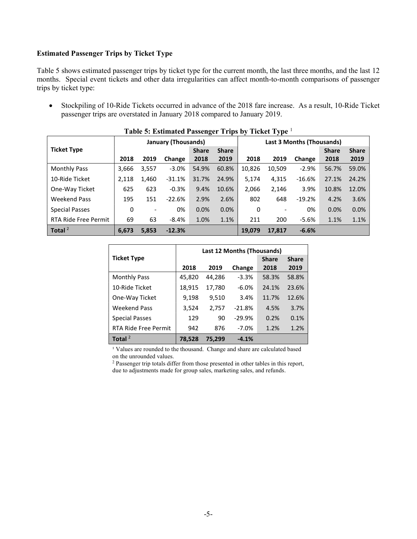#### Estimated Passenger Trips by Ticket Type

Table 5 shows estimated passenger trips by ticket type for the current month, the last three months, and the last 12 months. Special event tickets and other data irregularities can affect month-to-month comparisons of passenger trips by ticket type:

 Stockpiling of 10-Ride Tickets occurred in advance of the 2018 fare increase. As a result, 10-Ride Ticket passenger trips are overstated in January 2018 compared to January 2019.

|                       |       |                          | January (Thousands) | $\overline{ }$ |              |        |                          | Last 3 Months (Thousands) |              |              |
|-----------------------|-------|--------------------------|---------------------|----------------|--------------|--------|--------------------------|---------------------------|--------------|--------------|
| <b>Ticket Type</b>    |       |                          |                     | <b>Share</b>   | <b>Share</b> |        |                          |                           | <b>Share</b> | <b>Share</b> |
|                       | 2018  | 2019                     | Change              | 2018           | 2019         | 2018   | 2019                     | Change                    | 2018         | 2019         |
| <b>Monthly Pass</b>   | 3,666 | 3,557                    | $-3.0%$             | 54.9%          | 60.8%        | 10,826 | 10,509                   | $-2.9%$                   | 56.7%        | 59.0%        |
| 10-Ride Ticket        | 2,118 | 1,460                    | $-31.1%$            | 31.7%          | 24.9%        | 5,174  | 4,315                    | $-16.6%$                  | 27.1%        | 24.2%        |
| One-Way Ticket        | 625   | 623                      | $-0.3%$             | 9.4%           | 10.6%        | 2,066  | 2,146                    | 3.9%                      | 10.8%        | 12.0%        |
| <b>Weekend Pass</b>   | 195   | 151                      | $-22.6%$            | 2.9%           | 2.6%         | 802    | 648                      | $-19.2%$                  | 4.2%         | 3.6%         |
| <b>Special Passes</b> | 0     | $\overline{\phantom{a}}$ | 0%                  | 0.0%           | 0.0%         | 0      | $\overline{\phantom{0}}$ | 0%                        | 0.0%         | 0.0%         |
| RTA Ride Free Permit  | 69    | 63                       | $-8.4%$             | 1.0%           | 1.1%         | 211    | 200                      | $-5.6%$                   | 1.1%         | 1.1%         |
| Total $2$             | 6.673 | 5,853                    | $-12.3%$            |                |              | 19.079 | 17.817                   | $-6.6%$                   |              |              |

| Table 5: Estimated Passenger Trips by Ticket Type <sup>1</sup> |  |  |
|----------------------------------------------------------------|--|--|
|                                                                |  |  |

|                       |        |        | Last 12 Months (Thousands) |              |              |
|-----------------------|--------|--------|----------------------------|--------------|--------------|
| <b>Ticket Type</b>    |        |        |                            | <b>Share</b> | <b>Share</b> |
|                       | 2018   | 2019   | Change                     | 2018         | 2019         |
| <b>Monthly Pass</b>   | 45,820 | 44,286 | $-3.3%$                    | 58.3%        | 58.8%        |
| 10-Ride Ticket        | 18,915 | 17,780 | $-6.0%$                    | 24.1%        | 23.6%        |
| One-Way Ticket        | 9,198  | 9,510  | 3.4%                       | 11.7%        | 12.6%        |
| <b>Weekend Pass</b>   | 3,524  | 2,757  | $-21.8%$                   | 4.5%         | 3.7%         |
| <b>Special Passes</b> | 129    | 90     | $-29.9%$                   | 0.2%         | 0.1%         |
| RTA Ride Free Permit  | 942    | 876    | $-7.0%$                    | 1.2%         | 1.2%         |
| Total $^2$            | 78.528 | 75.299 | $-4.1%$                    |              |              |

<sup>1</sup> Values are rounded to the thousand. Change and share are calculated based on the unrounded values.

<sup>2</sup> Passenger trip totals differ from those presented in other tables in this report, due to adjustments made for group sales, marketing sales, and refunds.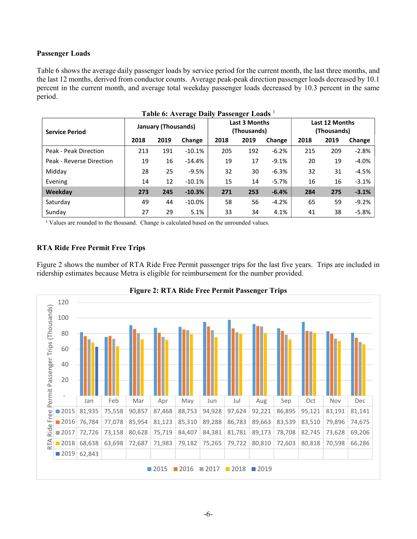#### Passenger Loads

Table 6 shows the average daily passenger loads by service period for the current month, the last three months, and the last 12 months, derived from conductor counts. Average peak-peak direction passenger loads decreased by 10.1 percent in the current month, and average total weekday passenger loads decreased by 10.3 percent in the same period.

| <b>Service Period</b>    |      | January (Thousands) |           |      | Last 3 Months<br>(Thousands) |         | Last 12 Months<br>(Thousands) |      |          |  |
|--------------------------|------|---------------------|-----------|------|------------------------------|---------|-------------------------------|------|----------|--|
|                          | 2018 | 2019                | Change    | 2018 | 2019                         | Change  | 2018                          | 2019 | Change   |  |
| Peak - Peak Direction    | 213  | 191                 | $-10.1%$  | 205  | 192                          | $-6.2%$ | 215                           | 209  | $-2.8%$  |  |
| Peak - Reverse Direction | 19   | 16                  | $-14.4%$  | 19   | 17                           | $-9.1%$ | 20                            | 19   | $-4.0\%$ |  |
| Midday                   | 28   | 25                  | $-9.5%$   | 32   | 30                           | $-6.3%$ | 32                            | 31   | $-4.5%$  |  |
| Evening                  | 14   | 12                  | $-10.1%$  | 15   | 14                           | $-5.7%$ | 16                            | 16   | $-3.1%$  |  |
| Weekday                  | 273  | 245                 | $-10.3%$  | 271  | 253                          | $-6.4%$ | 284                           | 275  | $-3.1%$  |  |
| Saturday                 | 49   | 44                  | $-10.0\%$ | 58   | 56                           | $-4.2%$ | 65                            | 59   | $-9.2%$  |  |
| Sunday                   | 27   | 29                  | 5.1%      | 33   | 34                           | 4.1%    | 41                            | 38   | $-5.8\%$ |  |

Table 6: Average Daily Passenger Loads<sup>1</sup>

<sup>1</sup> Values are rounded to the thousand. Change is calculated based on the unrounded values.

## RTA Ride Free Permit Free Trips

Figure 2 shows the number of RTA Ride Free Permit passenger trips for the last five years. Trips are included in ridership estimates because Metra is eligible for reimbursement for the number provided.



Figure 2: RTA Ride Free Permit Passenger Trips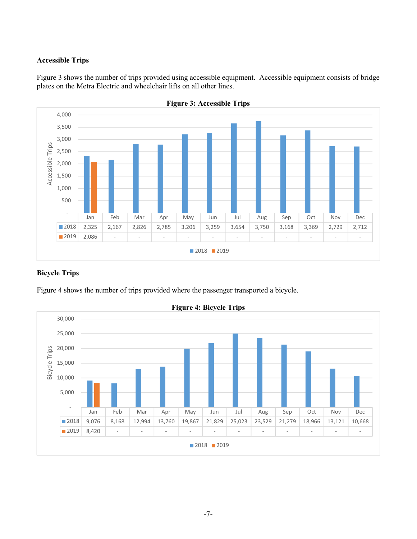## Accessible Trips

Figure 3 shows the number of trips provided using accessible equipment. Accessible equipment consists of bridge plates on the Metra Electric and wheelchair lifts on all other lines.



Figure 3: Accessible Trips

## Bicycle Trips

Figure 4 shows the number of trips provided where the passenger transported a bicycle.



Figure 4: Bicycle Trips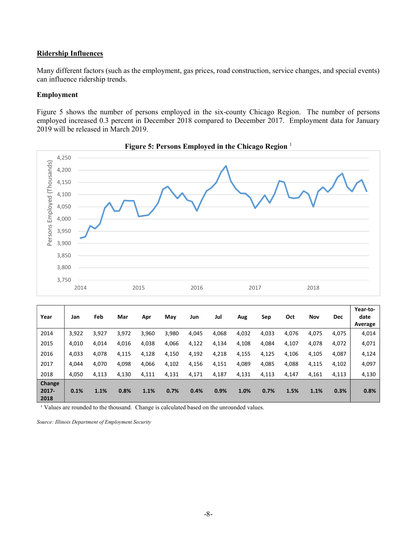#### Ridership Influences

Many different factors (such as the employment, gas prices, road construction, service changes, and special events) can influence ridership trends.

#### Employment

Figure 5 shows the number of persons employed in the six-county Chicago Region. The number of persons employed increased 0.3 percent in December 2018 compared to December 2017. Employment data for January 2019 will be released in March 2019.



Figure 5: Persons Employed in the Chicago Region <sup>1</sup>

| Year                       | Jan   | Feb   | Mar   | Apr   | May   | Jun   | Jul   | Aug   | Sep   | Oct   | Nov   | <b>Dec</b> | Year-to-<br>date<br>Average |
|----------------------------|-------|-------|-------|-------|-------|-------|-------|-------|-------|-------|-------|------------|-----------------------------|
| 2014                       | 3,922 | 3,927 | 3,972 | 3,960 | 3,980 | 4,045 | 4,068 | 4,032 | 4,033 | 4,076 | 4,075 | 4,075      | 4,014                       |
| 2015                       | 4,010 | 4,014 | 4,016 | 4,038 | 4,066 | 4,122 | 4,134 | 4,108 | 4,084 | 4,107 | 4,078 | 4,072      | 4,071                       |
| 2016                       | 4,033 | 4,078 | 4,115 | 4,128 | 4,150 | 4,192 | 4,218 | 4,155 | 4,125 | 4,106 | 4,105 | 4,087      | 4,124                       |
| 2017                       | 4.044 | 4,070 | 4,098 | 4,066 | 4,102 | 4,156 | 4,151 | 4,089 | 4,085 | 4,088 | 4,115 | 4,102      | 4,097                       |
| 2018                       | 4.050 | 4,113 | 4,130 | 4,111 | 4,131 | 4,171 | 4,187 | 4,131 | 4,113 | 4,147 | 4,161 | 4,113      | 4,130                       |
| Change<br>$2017 -$<br>2018 | 0.1%  | 1.1%  | 0.8%  | 1.1%  | 0.7%  | 0.4%  | 0.9%  | 1.0%  | 0.7%  | 1.5%  | 1.1%  | 0.3%       | 0.8%                        |

<sup>1</sup> Values are rounded to the thousand. Change is calculated based on the unrounded values.

Source: Illinois Department of Employment Security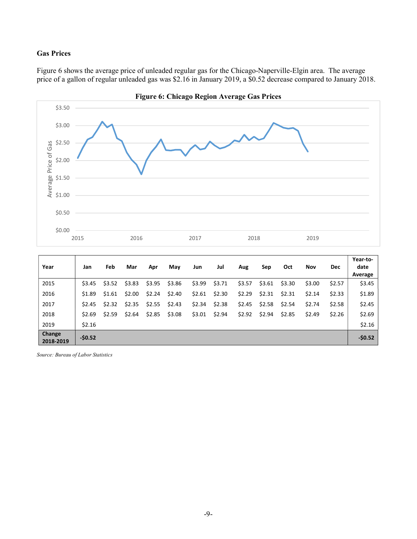## Gas Prices

Figure 6 shows the average price of unleaded regular gas for the Chicago-Naperville-Elgin area. The average price of a gallon of regular unleaded gas was \$2.16 in January 2019, a \$0.52 decrease compared to January 2018.



| Year                | Jan      | Feb    | Mar    | Apr    | May    | Jun    | Jul    | Aug    | Sep    | Oct    | Nov    | Dec    | Year-to-<br>date<br>Average |
|---------------------|----------|--------|--------|--------|--------|--------|--------|--------|--------|--------|--------|--------|-----------------------------|
| 2015                | \$3.45   | \$3.52 | \$3.83 | \$3.95 | \$3.86 | \$3.99 | \$3.71 | \$3.57 | \$3.61 | \$3.30 | \$3.00 | \$2.57 | \$3.45                      |
| 2016                | \$1.89   | \$1.61 | \$2.00 | \$2.24 | \$2.40 | \$2.61 | \$2.30 | \$2.29 | \$2.31 | \$2.31 | \$2.14 | \$2.33 | \$1.89                      |
| 2017                | \$2.45   | \$2.32 | \$2.35 | \$2.55 | \$2.43 | \$2.34 | \$2.38 | \$2.45 | \$2.58 | \$2.54 | \$2.74 | \$2.58 | \$2.45                      |
| 2018                | \$2.69   | \$2.59 | \$2.64 | \$2.85 | \$3.08 | \$3.01 | \$2.94 | \$2.92 | \$2.94 | \$2.85 | \$2.49 | \$2.26 | \$2.69                      |
| 2019                | \$2.16   |        |        |        |        |        |        |        |        |        |        |        | \$2.16                      |
| Change<br>2018-2019 | $-50.52$ |        |        |        |        |        |        |        |        |        |        |        | $-50.52$                    |

Source: Bureau of Labor Statistics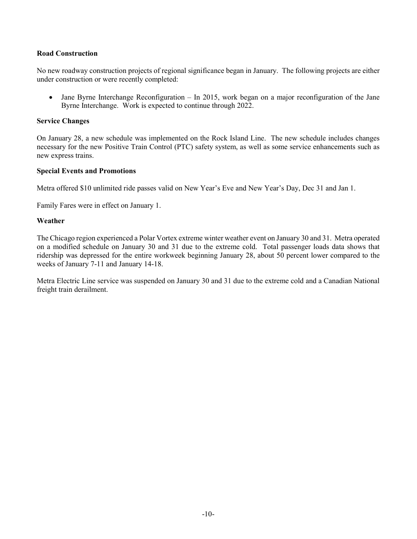#### Road Construction

No new roadway construction projects of regional significance began in January. The following projects are either under construction or were recently completed:

• Jane Byrne Interchange Reconfiguration – In 2015, work began on a major reconfiguration of the Jane Byrne Interchange. Work is expected to continue through 2022.

#### Service Changes

On January 28, a new schedule was implemented on the Rock Island Line. The new schedule includes changes necessary for the new Positive Train Control (PTC) safety system, as well as some service enhancements such as new express trains.

#### Special Events and Promotions

Metra offered \$10 unlimited ride passes valid on New Year's Eve and New Year's Day, Dec 31 and Jan 1.

Family Fares were in effect on January 1.

#### Weather

The Chicago region experienced a Polar Vortex extreme winter weather event on January 30 and 31. Metra operated on a modified schedule on January 30 and 31 due to the extreme cold. Total passenger loads data shows that ridership was depressed for the entire workweek beginning January 28, about 50 percent lower compared to the weeks of January 7-11 and January 14-18.

Metra Electric Line service was suspended on January 30 and 31 due to the extreme cold and a Canadian National freight train derailment.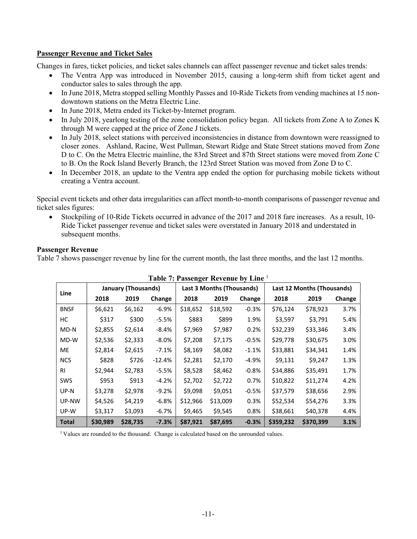#### Passenger Revenue and Ticket Sales

Changes in fares, ticket policies, and ticket sales channels can affect passenger revenue and ticket sales trends:

- The Ventra App was introduced in November 2015, causing a long-term shift from ticket agent and conductor sales to sales through the app.
- In June 2018, Metra stopped selling Monthly Passes and 10-Ride Tickets from vending machines at 15 nondowntown stations on the Metra Electric Line.
- In June 2018, Metra ended its Ticket-by-Internet program.
- In July 2018, yearlong testing of the zone consolidation policy began. All tickets from Zone A to Zones K through M were capped at the price of Zone J tickets.
- In July 2018, select stations with perceived inconsistencies in distance from downtown were reassigned to closer zones. Ashland, Racine, West Pullman, Stewart Ridge and State Street stations moved from Zone D to C. On the Metra Electric mainline, the 83rd Street and 87th Street stations were moved from Zone C to B. On the Rock Island Beverly Branch, the 123rd Street Station was moved from Zone D to C.
- In December 2018, an update to the Ventra app ended the option for purchasing mobile tickets without creating a Ventra account.

Special event tickets and other data irregularities can affect month-to-month comparisons of passenger revenue and ticket sales figures:

 Stockpiling of 10-Ride Tickets occurred in advance of the 2017 and 2018 fare increases. As a result, 10- Ride Ticket passenger revenue and ticket sales were overstated in January 2018 and understated in subsequent months.

#### Passenger Revenue

Table 7 shows passenger revenue by line for the current month, the last three months, and the last 12 months.

|              | Table 7: Passenger Revenue by Line <sup>1</sup> |                            |          |          |                           |         |                            |           |        |  |  |
|--------------|-------------------------------------------------|----------------------------|----------|----------|---------------------------|---------|----------------------------|-----------|--------|--|--|
|              |                                                 | <b>January (Thousands)</b> |          |          | Last 3 Months (Thousands) |         | Last 12 Months (Thousands) |           |        |  |  |
| Line         | 2018                                            | 2019                       | Change   | 2018     | 2019                      | Change  | 2018                       | 2019      | Change |  |  |
| <b>BNSF</b>  | \$6,621                                         | \$6,162                    | $-6.9%$  | \$18,652 | \$18,592                  | $-0.3%$ | \$76,124                   | \$78,923  | 3.7%   |  |  |
| НC           | \$317                                           | \$300                      | $-5.5%$  | \$883    | \$899                     | 1.9%    | \$3,597                    | \$3,791   | 5.4%   |  |  |
| MD-N         | \$2,855                                         | \$2,614                    | $-8.4%$  | \$7,969  | \$7,987                   | 0.2%    | \$32,239                   | \$33,346  | 3.4%   |  |  |
| MD-W         | \$2,536                                         | \$2,333                    | $-8.0\%$ | \$7,208  | \$7,175                   | $-0.5%$ | \$29,778                   | \$30,675  | 3.0%   |  |  |
| <b>ME</b>    | \$2,814                                         | \$2,615                    | $-7.1%$  | \$8,169  | \$8,082                   | $-1.1%$ | \$33,881                   | \$34,341  | 1.4%   |  |  |
| <b>NCS</b>   | \$828                                           | \$726                      | $-12.4%$ | \$2,281  | \$2,170                   | -4.9%   | \$9,131                    | \$9,247   | 1.3%   |  |  |
| <b>RI</b>    | \$2,944                                         | \$2,783                    | $-5.5%$  | \$8,528  | \$8,462                   | $-0.8%$ | \$34,886                   | \$35,491  | 1.7%   |  |  |
| <b>SWS</b>   | \$953                                           | \$913                      | $-4.2%$  | \$2,702  | \$2,722                   | 0.7%    | \$10,822                   | \$11,274  | 4.2%   |  |  |
| UP-N         | \$3,278                                         | \$2,978                    | $-9.2%$  | \$9,098  | \$9,051                   | $-0.5%$ | \$37,579                   | \$38,656  | 2.9%   |  |  |
| UP-NW        | \$4,526                                         | \$4,219                    | $-6.8%$  | \$12,966 | \$13,009                  | 0.3%    | \$52,534                   | \$54,276  | 3.3%   |  |  |
| UP-W         | \$3,317                                         | \$3,093                    | $-6.7%$  | \$9,465  | \$9,545                   | 0.8%    | \$38,661                   | \$40,378  | 4.4%   |  |  |
| <b>Total</b> | \$30,989                                        | \$28,735                   | $-7.3%$  | \$87,921 | \$87,695                  | $-0.3%$ | \$359,232                  | \$370,399 | 3.1%   |  |  |

| Table 7: Passenger Revenue by Line 1 |  |  |
|--------------------------------------|--|--|
|--------------------------------------|--|--|

<sup>1</sup> Values are rounded to the thousand. Change is calculated based on the unrounded values.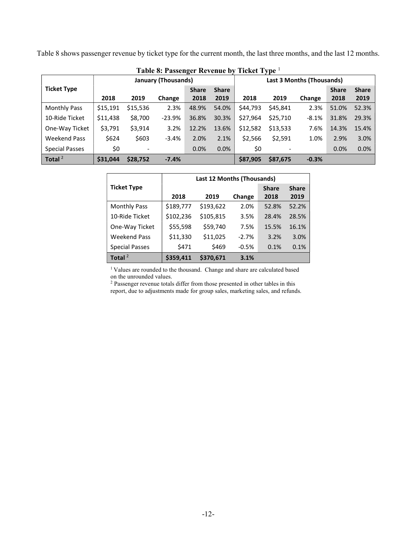Table 8 shows passenger revenue by ticket type for the current month, the last three months, and the last 12 months.

|                       |          |          | Table 8: Passenger Revenue Dy |                           |              | <b>TICKEL TADE</b> |          |         |              |              |
|-----------------------|----------|----------|-------------------------------|---------------------------|--------------|--------------------|----------|---------|--------------|--------------|
|                       |          |          | <b>January (Thousands)</b>    | Last 3 Months (Thousands) |              |                    |          |         |              |              |
| <b>Ticket Type</b>    |          |          |                               | <b>Share</b>              | <b>Share</b> |                    |          |         | <b>Share</b> | <b>Share</b> |
|                       | 2018     | 2019     | Change                        | 2018                      | 2019         | 2018               | 2019     | Change  | 2018         | 2019         |
| <b>Monthly Pass</b>   | \$15,191 | \$15,536 | 2.3%                          | 48.9%                     | 54.0%        | \$44,793           | \$45,841 | 2.3%    | 51.0%        | 52.3%        |
| 10-Ride Ticket        | \$11,438 | \$8,700  | $-23.9%$                      | 36.8%                     | 30.3%        | \$27,964           | \$25,710 | $-8.1%$ | 31.8%        | 29.3%        |
| One-Way Ticket        | \$3,791  | \$3,914  | 3.2%                          | 12.2%                     | 13.6%        | \$12,582           | \$13,533 | 7.6%    | 14.3%        | 15.4%        |
| <b>Weekend Pass</b>   | \$624    | \$603    | $-3.4%$                       | 2.0%                      | 2.1%         | \$2,566            | \$2,591  | 1.0%    | 2.9%         | 3.0%         |
| <b>Special Passes</b> | \$0      |          |                               | 0.0%                      | 0.0%         | \$0                |          |         | 0.0%         | 0.0%         |
| Total $2$             | \$31,044 | \$28,752 | $-7.4%$                       |                           |              | \$87,905           | \$87,675 | $-0.3%$ |              |              |

Table 8: Passenger Revenue by Ticket Type <sup>1</sup>

|                       | Last 12 Months (Thousands) |           |         |              |              |  |  |  |  |
|-----------------------|----------------------------|-----------|---------|--------------|--------------|--|--|--|--|
| <b>Ticket Type</b>    |                            |           |         | <b>Share</b> | <b>Share</b> |  |  |  |  |
|                       | 2018                       | 2019      | Change  | 2018         | 2019         |  |  |  |  |
| <b>Monthly Pass</b>   | \$189,777                  | \$193,622 | 2.0%    | 52.8%        | 52.2%        |  |  |  |  |
| 10-Ride Ticket        | \$102,236                  | \$105,815 | 3.5%    | 28.4%        | 28.5%        |  |  |  |  |
| One-Way Ticket        | \$55,598                   | \$59,740  | 7.5%    | 15.5%        | 16.1%        |  |  |  |  |
| <b>Weekend Pass</b>   | \$11,330                   | \$11,025  | $-2.7%$ | 3.2%         | 3.0%         |  |  |  |  |
| <b>Special Passes</b> | \$471                      | \$469     | $-0.5%$ | 0.1%         | 0.1%         |  |  |  |  |
| Total $2$             | \$359,411                  | \$370.671 | 3.1%    |              |              |  |  |  |  |

<sup>1</sup> Values are rounded to the thousand. Change and share are calculated based on the unrounded values.

<sup>2</sup> Passenger revenue totals differ from those presented in other tables in this report, due to adjustments made for group sales, marketing sales, and refunds.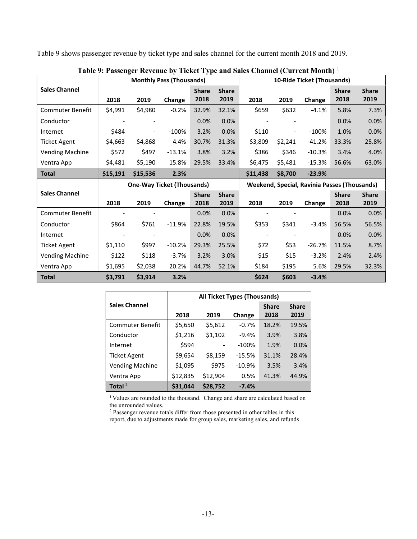Table 9 shows passenger revenue by ticket type and sales channel for the current month 2018 and 2019.

|                         |          |          | <b>Monthly Pass (Thousands)</b>   |                      |                      | 10-Ride Ticket (Thousands) |         |                                                     |                      |                      |
|-------------------------|----------|----------|-----------------------------------|----------------------|----------------------|----------------------------|---------|-----------------------------------------------------|----------------------|----------------------|
| <b>Sales Channel</b>    | 2018     | 2019     | Change                            | <b>Share</b><br>2018 | <b>Share</b><br>2019 | 2018                       | 2019    | Change                                              | <b>Share</b><br>2018 | <b>Share</b><br>2019 |
| <b>Commuter Benefit</b> | \$4,991  | \$4,980  | $-0.2%$                           | 32.9%                | 32.1%                | \$659                      | \$632   | $-4.1%$                                             | 5.8%                 | 7.3%                 |
| Conductor               |          |          |                                   | 0.0%                 | 0.0%                 |                            |         |                                                     | 0.0%                 | 0.0%                 |
| Internet                | \$484    |          | $-100%$                           | 3.2%                 | 0.0%                 | \$110                      |         | $-100%$                                             | 1.0%                 | 0.0%                 |
| Ticket Agent            | \$4,663  | \$4,868  | 4.4%                              | 30.7%                | 31.3%                | \$3,809                    | \$2,241 | $-41.2%$                                            | 33.3%                | 25.8%                |
| <b>Vending Machine</b>  | \$572    | \$497    | $-13.1%$                          | 3.8%                 | 3.2%                 | \$386                      | \$346   | $-10.3%$                                            | 3.4%                 | 4.0%                 |
| Ventra App              | \$4,481  | \$5,190  | 15.8%                             | 29.5%                | 33.4%                | \$6,475                    | \$5,481 | $-15.3%$                                            | 56.6%                | 63.0%                |
| <b>Total</b>            | \$15,191 | \$15,536 | 2.3%                              |                      |                      | \$11,438                   | \$8,700 | $-23.9%$                                            |                      |                      |
|                         |          |          |                                   |                      |                      |                            |         |                                                     |                      |                      |
|                         |          |          | <b>One-Way Ticket (Thousands)</b> |                      |                      |                            |         | <b>Weekend, Special, Ravinia Passes (Thousands)</b> |                      |                      |
| <b>Sales Channel</b>    | 2018     | 2019     | Change                            | <b>Share</b><br>2018 | <b>Share</b><br>2019 | 2018                       | 2019    | Change                                              | <b>Share</b><br>2018 | <b>Share</b><br>2019 |
| Commuter Benefit        |          |          |                                   | 0.0%                 | 0.0%                 |                            |         |                                                     | 0.0%                 | 0.0%                 |
| Conductor               | \$864    | \$761    | $-11.9%$                          | 22.8%                | 19.5%                | \$353                      | \$341   | $-3.4%$                                             | 56.5%                | 56.5%                |
| Internet                |          |          |                                   | 0.0%                 | 0.0%                 |                            |         |                                                     | 0.0%                 | 0.0%                 |
| <b>Ticket Agent</b>     | \$1,110  | \$997    | $-10.2%$                          | 29.3%                | 25.5%                | \$72                       | \$53    | $-26.7%$                                            | 11.5%                | 8.7%                 |
| <b>Vending Machine</b>  | \$122    | \$118    | $-3.7%$                           | 3.2%                 | 3.0%                 | \$15                       | \$15    | $-3.2%$                                             | 2.4%                 | 2.4%                 |
| Ventra App              | \$1,695  | \$2,038  | 20.2%                             | 44.7%                | 52.1%                | \$184                      | \$195   | 5.6%                                                | 29.5%                | 32.3%                |

Table 9: Passenger Revenue by Ticket Type and Sales Channel (Current Month)<sup>1</sup>

|                         | <b>All Ticket Types (Thousands)</b> |          |          |              |              |  |  |  |  |
|-------------------------|-------------------------------------|----------|----------|--------------|--------------|--|--|--|--|
| <b>Sales Channel</b>    |                                     |          |          | <b>Share</b> | <b>Share</b> |  |  |  |  |
|                         | 2018                                | 2019     | Change   | 2018         | 2019         |  |  |  |  |
| <b>Commuter Benefit</b> | \$5,650                             | \$5,612  | $-0.7%$  | 18.2%        | 19.5%        |  |  |  |  |
| Conductor               | \$1,216                             | \$1,102  | $-9.4%$  | 3.9%         | 3.8%         |  |  |  |  |
| Internet                | \$594                               |          | $-100%$  | 1.9%         | 0.0%         |  |  |  |  |
| <b>Ticket Agent</b>     | \$9,654                             | \$8,159  | $-15.5%$ | 31.1%        | 28.4%        |  |  |  |  |
| <b>Vending Machine</b>  | \$1,095                             | \$975    | $-10.9%$ | 3.5%         | 3.4%         |  |  |  |  |
| Ventra App              | \$12,835                            | \$12,904 | 0.5%     | 41.3%        | 44.9%        |  |  |  |  |
| Total $^2$              | \$31,044                            | \$28,752 | $-7.4%$  |              |              |  |  |  |  |

<sup>1</sup> Values are rounded to the thousand. Change and share are calculated based on the unrounded values.

<sup>2</sup> Passenger revenue totals differ from those presented in other tables in this report, due to adjustments made for group sales, marketing sales, and refunds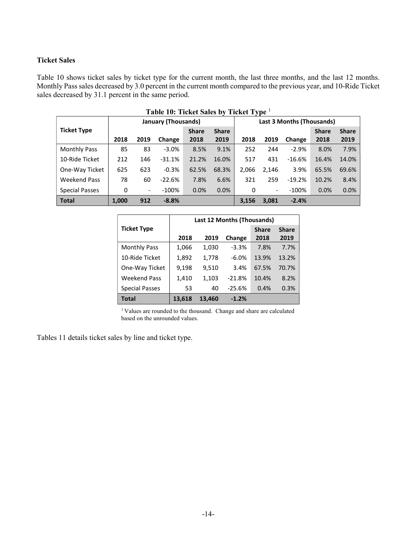## Ticket Sales

Table 10 shows ticket sales by ticket type for the current month, the last three months, and the last 12 months. Monthly Pass sales decreased by 3.0 percent in the current month compared to the previous year, and 10-Ride Ticket sales decreased by 31.1 percent in the same period.

| Table 10: Ticket Sales by Ticket Type 1 |                     |                          |          |              |              |       |                           |          |              |              |  |
|-----------------------------------------|---------------------|--------------------------|----------|--------------|--------------|-------|---------------------------|----------|--------------|--------------|--|
|                                         | January (Thousands) |                          |          |              |              |       | Last 3 Months (Thousands) |          |              |              |  |
| <b>Ticket Type</b>                      |                     |                          |          | <b>Share</b> | <b>Share</b> |       |                           |          | <b>Share</b> | <b>Share</b> |  |
|                                         | 2018                | 2019                     | Change   | 2018         | 2019         | 2018  | 2019                      | Change   | 2018         | 2019         |  |
| <b>Monthly Pass</b>                     | 85                  | 83                       | $-3.0%$  | 8.5%         | 9.1%         | 252   | 244                       | $-2.9%$  | 8.0%         | 7.9%         |  |
| 10-Ride Ticket                          | 212                 | 146                      | $-31.1%$ | 21.2%        | 16.0%        | 517   | 431                       | $-16.6%$ | 16.4%        | 14.0%        |  |
| One-Way Ticket                          | 625                 | 623                      | $-0.3%$  | 62.5%        | 68.3%        | 2,066 | 2.146                     | 3.9%     | 65.5%        | 69.6%        |  |
| <b>Weekend Pass</b>                     | 78                  | 60                       | $-22.6%$ | 7.8%         | 6.6%         | 321   | 259                       | $-19.2%$ | 10.2%        | 8.4%         |  |
| <b>Special Passes</b>                   | 0                   | $\overline{\phantom{a}}$ | $-100%$  | 0.0%         | 0.0%         | 0     | $\overline{\phantom{0}}$  | $-100%$  | 0.0%         | 0.0%         |  |
| <b>Total</b>                            | 1.000               | 912                      | $-8.8%$  |              |              | 3.156 | 3.081                     | $-2.4%$  |              |              |  |

|                       |        | <b>Last 12 Months (Thousands)</b> |          |              |              |  |  |  |  |  |
|-----------------------|--------|-----------------------------------|----------|--------------|--------------|--|--|--|--|--|
| <b>Ticket Type</b>    |        |                                   |          | <b>Share</b> | <b>Share</b> |  |  |  |  |  |
|                       | 2018   | 2019                              | Change   | 2018         | 2019         |  |  |  |  |  |
| <b>Monthly Pass</b>   | 1,066  | 1,030                             | $-3.3%$  | 7.8%         | 7.7%         |  |  |  |  |  |
| 10-Ride Ticket        | 1,892  | 1,778                             | $-6.0%$  | 13.9%        | 13.2%        |  |  |  |  |  |
| One-Way Ticket        | 9,198  | 9,510                             | 3.4%     | 67.5%        | 70.7%        |  |  |  |  |  |
| <b>Weekend Pass</b>   | 1,410  | 1,103                             | $-21.8%$ | 10.4%        | 8.2%         |  |  |  |  |  |
| <b>Special Passes</b> | 53     | 40                                | $-25.6%$ | 0.4%         | 0.3%         |  |  |  |  |  |
| Total                 | 13,618 | 13,460                            | $-1.2%$  |              |              |  |  |  |  |  |

<sup>1</sup> Values are rounded to the thousand. Change and share are calculated based on the unrounded values.

Tables 11 details ticket sales by line and ticket type.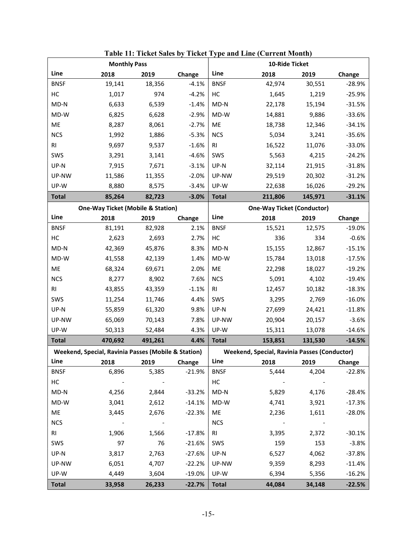|                | <b>Monthly Pass</b>                                 |         |          | 10-Ride Ticket |                                                     |                                   |          |  |
|----------------|-----------------------------------------------------|---------|----------|----------------|-----------------------------------------------------|-----------------------------------|----------|--|
| Line           | 2018                                                | 2019    | Change   | Line           | 2018                                                | 2019                              | Change   |  |
| <b>BNSF</b>    | 19,141                                              | 18,356  | $-4.1%$  | <b>BNSF</b>    | 42,974                                              | 30,551                            | $-28.9%$ |  |
| HC             | 1,017                                               | 974     | $-4.2%$  | HC             | 1,645                                               | 1,219                             | $-25.9%$ |  |
| $MD-N$         | 6,633                                               | 6,539   | $-1.4%$  | $MD-N$         | 22,178                                              | 15,194                            | $-31.5%$ |  |
| MD-W           | 6,825                                               | 6,628   | $-2.9%$  | MD-W           | 14,881                                              | 9,886                             | $-33.6%$ |  |
| ME             | 8,287                                               | 8,061   | $-2.7%$  | ME             | 18,738                                              | 12,346                            | $-34.1%$ |  |
| <b>NCS</b>     | 1,992                                               | 1,886   | $-5.3%$  | <b>NCS</b>     | 5,034                                               | 3,241                             | $-35.6%$ |  |
| R <sub>l</sub> | 9,697                                               | 9,537   | $-1.6%$  | R <sub>l</sub> | 16,522                                              | 11,076                            | $-33.0%$ |  |
| SWS            | 3,291                                               | 3,141   | $-4.6%$  | SWS            | 5,563                                               | 4,215                             | $-24.2%$ |  |
| UP-N           | 7,915                                               | 7,671   | $-3.1%$  | $UP-N$         | 32,114                                              | 21,915                            | $-31.8%$ |  |
| UP-NW          | 11,586                                              | 11,355  | $-2.0%$  | UP-NW          | 29,519                                              | 20,302                            | $-31.2%$ |  |
| UP-W           | 8,880                                               | 8,575   | $-3.4%$  | UP-W           | 22,638                                              | 16,026                            | $-29.2%$ |  |
| <b>Total</b>   | 85,264                                              | 82,723  | $-3.0%$  | <b>Total</b>   | 211,806                                             | 145,971                           | $-31.1%$ |  |
|                | <b>One-Way Ticket (Mobile &amp; Station)</b>        |         |          |                |                                                     | <b>One-Way Ticket (Conductor)</b> |          |  |
| Line           | 2018                                                | 2019    | Change   | Line           | 2018                                                | 2019                              | Change   |  |
| <b>BNSF</b>    | 81,191                                              | 82,928  | 2.1%     | <b>BNSF</b>    | 15,521                                              | 12,575                            | $-19.0%$ |  |
| HC             | 2,623                                               | 2,693   | 2.7%     | HC             | 336                                                 | 334                               | $-0.6%$  |  |
| $MD-N$         | 42,369                                              | 45,876  | 8.3%     | $MD-N$         | 15,155                                              | 12,867                            | $-15.1%$ |  |
| MD-W           | 41,558                                              | 42,139  | 1.4%     | MD-W           | 15,784                                              | 13,018                            | $-17.5%$ |  |
| ME             | 68,324                                              | 69,671  | 2.0%     | ME             | 22,298                                              | 18,027                            | $-19.2%$ |  |
| <b>NCS</b>     | 8,277                                               | 8,902   | 7.6%     | <b>NCS</b>     | 5,091                                               | 4,102                             | $-19.4%$ |  |
| R <sub>l</sub> | 43,855                                              | 43,359  | $-1.1%$  | RI             | 12,457                                              | 10,182                            | $-18.3%$ |  |
| SWS            | 11,254                                              | 11,746  | 4.4%     | SWS            | 3,295                                               | 2,769                             | $-16.0%$ |  |
| UP-N           | 55,859                                              | 61,320  | 9.8%     | UP-N           | 27,699                                              | 24,421                            | $-11.8%$ |  |
| UP-NW          | 65,069                                              | 70,143  | 7.8%     | UP-NW          | 20,904                                              | 20,157                            | $-3.6%$  |  |
| UP-W           | 50,313                                              | 52,484  | 4.3%     | UP-W           | 15,311                                              | 13,078                            | $-14.6%$ |  |
| <b>Total</b>   | 470,692                                             | 491,261 | 4.4%     | <b>Total</b>   | 153,851                                             | 131,530                           | $-14.5%$ |  |
|                | Weekend, Special, Ravinia Passes (Mobile & Station) |         |          |                | <b>Weekend, Special, Ravinia Passes (Conductor)</b> |                                   |          |  |
| Line           | 2018                                                | 2019    | Change   | Line           | 2018                                                | 2019                              | Change   |  |
| <b>BNSF</b>    | 6,896                                               | 5,385   | $-21.9%$ | <b>BNSF</b>    | 5,444                                               | 4,204                             | $-22.8%$ |  |
| HC             |                                                     |         |          | HC             |                                                     |                                   |          |  |
| $MD-N$         | 4,256                                               | 2,844   | $-33.2%$ | $MD-N$         | 5,829                                               | 4,176                             | $-28.4%$ |  |
| $MD-W$         | 3,041                                               | 2,612   | $-14.1%$ | MD-W           | 4,741                                               | 3,921                             | $-17.3%$ |  |
| ME             | 3,445                                               | 2,676   | $-22.3%$ | ME             | 2,236                                               | 1,611                             | $-28.0%$ |  |
| <b>NCS</b>     | $\sim$ $-$                                          |         |          | <b>NCS</b>     |                                                     |                                   |          |  |
| RI.            | 1,906                                               | 1,566   | $-17.8%$ | RI.            | 3,395                                               | 2,372                             | $-30.1%$ |  |
| SWS            | 97                                                  | 76      | $-21.6%$ | SWS            | 159                                                 | 153                               | $-3.8%$  |  |
| UP-N           | 3,817                                               | 2,763   | $-27.6%$ | $UP-N$         | 6,527                                               | 4,062                             | $-37.8%$ |  |
| UP-NW          | 6,051                                               | 4,707   | $-22.2%$ | UP-NW          | 9,359                                               | 8,293                             | $-11.4%$ |  |
| UP-W           | 4,449                                               | 3,604   | $-19.0%$ | UP-W           | 6,394                                               | 5,356                             | $-16.2%$ |  |
| <b>Total</b>   | 33,958                                              | 26,233  | $-22.7%$ | <b>Total</b>   | 44,084                                              | 34,148                            | $-22.5%$ |  |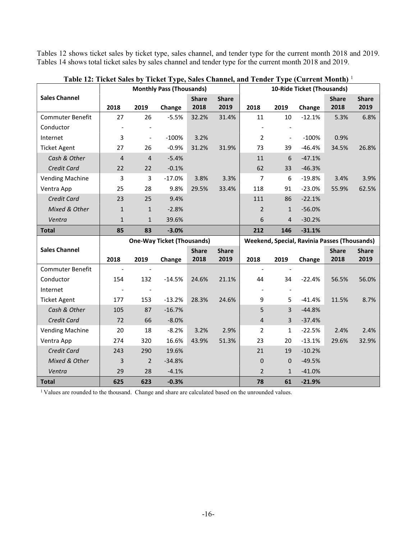Tables 12 shows ticket sales by ticket type, sales channel, and tender type for the current month 2018 and 2019. Tables 14 shows total ticket sales by sales channel and tender type for the current month 2018 and 2019.

|                         | <b>Monthly Pass (Thousands)</b> |                          |                                   |              |              |                |                          | 10-Ride Ticket (Thousands)                   |              |              |
|-------------------------|---------------------------------|--------------------------|-----------------------------------|--------------|--------------|----------------|--------------------------|----------------------------------------------|--------------|--------------|
| <b>Sales Channel</b>    |                                 |                          |                                   | <b>Share</b> | <b>Share</b> |                |                          |                                              | <b>Share</b> | <b>Share</b> |
|                         | 2018                            | 2019                     | Change                            | 2018         | 2019         | 2018           | 2019                     | Change                                       | 2018         | 2019         |
| Commuter Benefit        | 27                              | 26                       | $-5.5%$                           | 32.2%        | 31.4%        | 11             | 10                       | $-12.1%$                                     | 5.3%         | 6.8%         |
| Conductor               |                                 |                          |                                   |              |              |                |                          |                                              |              |              |
| Internet                | 3                               | $\overline{\phantom{a}}$ | $-100%$                           | 3.2%         |              | $\overline{2}$ | $\overline{\phantom{a}}$ | $-100%$                                      | 0.9%         |              |
| <b>Ticket Agent</b>     | 27                              | 26                       | $-0.9%$                           | 31.2%        | 31.9%        | 73             | 39                       | $-46.4%$                                     | 34.5%        | 26.8%        |
| Cash & Other            | 4                               | $\overline{4}$           | $-5.4%$                           |              |              | 11             | 6                        | $-47.1%$                                     |              |              |
| Credit Card             | 22                              | 22                       | $-0.1%$                           |              |              | 62             | 33                       | $-46.3%$                                     |              |              |
| <b>Vending Machine</b>  | 3                               | 3                        | $-17.0%$                          | 3.8%         | 3.3%         | $\overline{7}$ | 6                        | $-19.8%$                                     | 3.4%         | 3.9%         |
| Ventra App              | 25                              | 28                       | 9.8%                              | 29.5%        | 33.4%        | 118            | 91                       | $-23.0%$                                     | 55.9%        | 62.5%        |
| Credit Card             | 23                              | 25                       | 9.4%                              |              |              | 111            | 86                       | $-22.1%$                                     |              |              |
| Mixed & Other           | $\mathbf{1}$                    | $\mathbf{1}$             | $-2.8%$                           |              |              | $\overline{2}$ | $\mathbf{1}$             | $-56.0%$                                     |              |              |
| Ventra                  | $\mathbf{1}$                    | $\mathbf{1}$             | 39.6%                             |              |              | 6              | $\overline{4}$           | $-30.2%$                                     |              |              |
| <b>Total</b>            | 85                              | 83                       | $-3.0%$                           |              |              | 212            | 146                      | $-31.1%$                                     |              |              |
|                         |                                 |                          |                                   |              |              |                |                          |                                              |              |              |
|                         |                                 |                          | <b>One-Way Ticket (Thousands)</b> |              |              |                |                          | Weekend, Special, Ravinia Passes (Thousands) |              |              |
| <b>Sales Channel</b>    |                                 |                          |                                   | <b>Share</b> | <b>Share</b> |                |                          |                                              | <b>Share</b> | <b>Share</b> |
|                         | 2018                            | 2019                     | Change                            | 2018         | 2019         | 2018           | 2019                     | Change                                       | 2018         | 2019         |
| <b>Commuter Benefit</b> |                                 |                          |                                   |              |              | $\blacksquare$ |                          |                                              |              |              |
| Conductor               | 154                             | 132                      | $-14.5%$                          | 24.6%        | 21.1%        | 44             | 34                       | $-22.4%$                                     | 56.5%        | 56.0%        |
| Internet                |                                 |                          |                                   |              |              |                |                          |                                              |              |              |
| <b>Ticket Agent</b>     | 177                             | 153                      | $-13.2%$                          | 28.3%        | 24.6%        | 9              | 5                        | $-41.4%$                                     | 11.5%        | 8.7%         |
| Cash & Other            | 105                             | 87                       | $-16.7%$                          |              |              | 5              | $\overline{3}$           | $-44.8%$                                     |              |              |
| Credit Card             | 72                              | 66                       | $-8.0%$                           |              |              | $\overline{4}$ | 3                        | $-37.4%$                                     |              |              |
| <b>Vending Machine</b>  | 20                              | 18                       | $-8.2%$                           | 3.2%         | 2.9%         | $\overline{2}$ | $\mathbf{1}$             | $-22.5%$                                     | 2.4%         | 2.4%         |
| Ventra App              | 274                             | 320                      | 16.6%                             | 43.9%        | 51.3%        | 23             | 20                       | $-13.1%$                                     | 29.6%        | 32.9%        |
| Credit Card             | 243                             | 290                      | 19.6%                             |              |              | 21             | 19                       | $-10.2%$                                     |              |              |
| Mixed & Other           | 3                               | $\overline{2}$           | $-34.8%$                          |              |              | $\mathbf 0$    | 0                        | $-49.5%$                                     |              |              |
| Ventra                  | 29                              | 28                       | $-4.1%$                           |              |              | $\overline{2}$ | $\mathbf{1}$             | $-41.0%$                                     |              |              |

Table 12: Ticket Sales by Ticket Type, Sales Channel, and Tender Type (Current Month) <sup>1</sup>

<sup>1</sup> Values are rounded to the thousand. Change and share are calculated based on the unrounded values.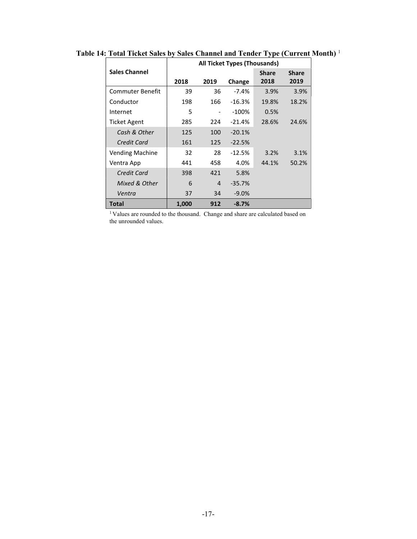|                        |       | <b>All Ticket Types (Thousands)</b> |          |              |              |
|------------------------|-------|-------------------------------------|----------|--------------|--------------|
| <b>Sales Channel</b>   |       |                                     |          | <b>Share</b> | <b>Share</b> |
|                        | 2018  | 2019                                | Change   | 2018         | 2019         |
| Commuter Benefit       | 39    | 36                                  | $-7.4%$  | 3.9%         | 3.9%         |
| Conductor              | 198   | 166                                 | $-16.3%$ | 19.8%        | 18.2%        |
| Internet               | 5     |                                     | $-100\%$ | 0.5%         |              |
| <b>Ticket Agent</b>    | 285   | 224                                 | $-21.4%$ | 28.6%        | 24.6%        |
| Cash & Other           | 125   | 100                                 | $-20.1%$ |              |              |
| Credit Card            | 161   | 125                                 | $-22.5%$ |              |              |
| <b>Vending Machine</b> | 32    | 28                                  | $-12.5%$ | 3.2%         | 3.1%         |
| Ventra App             | 441   | 458                                 | 4.0%     | 44.1%        | 50.2%        |
| Credit Card            | 398   | 421                                 | 5.8%     |              |              |
| Mixed & Other          | 6     | 4                                   | $-35.7%$ |              |              |
| Ventra                 | 37    | 34                                  | $-9.0%$  |              |              |
| Total                  | 1,000 | 912                                 | $-8.7%$  |              |              |

Table 14: Total Ticket Sales by Sales Channel and Tender Type (Current Month)<sup>1</sup>

<sup>1</sup> Values are rounded to the thousand. Change and share are calculated based on the unrounded values.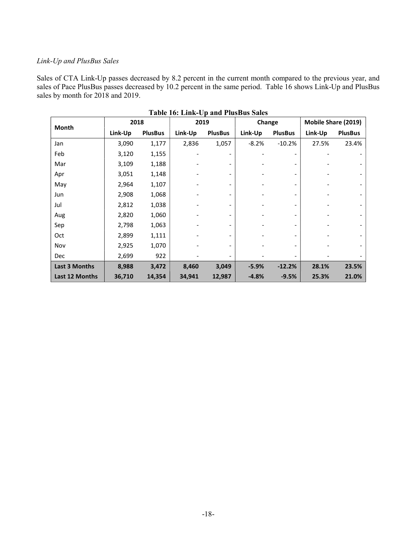#### Link-Up and PlusBus Sales

Sales of CTA Link-Up passes decreased by 8.2 percent in the current month compared to the previous year, and sales of Pace PlusBus passes decreased by 10.2 percent in the same period. Table 16 shows Link-Up and PlusBus sales by month for 2018 and 2019.

|                      |         |                | Table To: Ellin Op and I laspus bales |                |         |                              |                     |                |
|----------------------|---------|----------------|---------------------------------------|----------------|---------|------------------------------|---------------------|----------------|
| <b>Month</b>         | 2018    |                | 2019                                  |                | Change  |                              | Mobile Share (2019) |                |
|                      | Link-Up | <b>PlusBus</b> | Link-Up                               | <b>PlusBus</b> | Link-Up | <b>PlusBus</b>               | Link-Up             | <b>PlusBus</b> |
| Jan                  | 3,090   | 1,177          | 2,836                                 | 1,057          | $-8.2%$ | $-10.2%$                     | 27.5%               | 23.4%          |
| Feb                  | 3,120   | 1,155          |                                       |                |         | $\overline{\phantom{0}}$     |                     |                |
| Mar                  | 3,109   | 1,188          |                                       |                |         | $\qquad \qquad \blacksquare$ |                     |                |
| Apr                  | 3,051   | 1,148          |                                       |                |         | $\qquad \qquad \blacksquare$ |                     |                |
| May                  | 2,964   | 1,107          |                                       |                |         | $\overline{\phantom{0}}$     |                     |                |
| Jun                  | 2,908   | 1,068          |                                       |                |         | $\overline{\phantom{0}}$     |                     |                |
| Jul                  | 2,812   | 1,038          |                                       |                |         | $\overline{\phantom{0}}$     |                     |                |
| Aug                  | 2,820   | 1,060          |                                       |                |         | $\overline{\phantom{a}}$     |                     |                |
| Sep                  | 2,798   | 1,063          |                                       |                |         | $\overline{\phantom{0}}$     |                     |                |
| Oct                  | 2,899   | 1,111          |                                       |                |         | -                            |                     |                |
| Nov                  | 2,925   | 1,070          |                                       |                |         | $\overline{\phantom{0}}$     |                     |                |
| <b>Dec</b>           | 2,699   | 922            |                                       |                |         | $\overline{\phantom{0}}$     |                     |                |
| <b>Last 3 Months</b> | 8,988   | 3,472          | 8,460                                 | 3,049          | $-5.9%$ | $-12.2%$                     | 28.1%               | 23.5%          |
| Last 12 Months       | 36,710  | 14,354         | 34,941                                | 12,987         | $-4.8%$ | $-9.5%$                      | 25.3%               | 21.0%          |

Table 16: Link-Up and PlusBus Sales